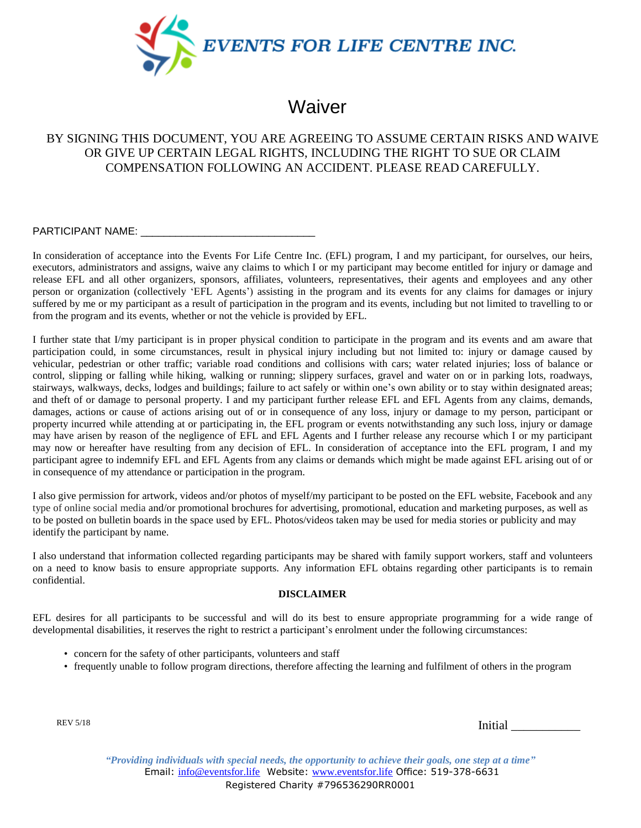

## **Waiver**

## BY SIGNING THIS DOCUMENT, YOU ARE AGREEING TO ASSUME CERTAIN RISKS AND WAIVE OR GIVE UP CERTAIN LEGAL RIGHTS, INCLUDING THE RIGHT TO SUE OR CLAIM COMPENSATION FOLLOWING AN ACCIDENT. PLEASE READ CAREFULLY.

PARTICIPANT NAME: \_\_\_\_\_\_\_\_\_\_\_\_\_\_\_\_\_\_\_\_\_\_\_\_\_\_\_\_\_\_

In consideration of acceptance into the Events For Life Centre Inc. (EFL) program, I and my participant, for ourselves, our heirs, executors, administrators and assigns, waive any claims to which I or my participant may become entitled for injury or damage and release EFL and all other organizers, sponsors, affiliates, volunteers, representatives, their agents and employees and any other person or organization (collectively 'EFL Agents') assisting in the program and its events for any claims for damages or injury suffered by me or my participant as a result of participation in the program and its events, including but not limited to travelling to or from the program and its events, whether or not the vehicle is provided by EFL.

I further state that I/my participant is in proper physical condition to participate in the program and its events and am aware that participation could, in some circumstances, result in physical injury including but not limited to: injury or damage caused by vehicular, pedestrian or other traffic; variable road conditions and collisions with cars; water related injuries; loss of balance or control, slipping or falling while hiking, walking or running; slippery surfaces, gravel and water on or in parking lots, roadways, stairways, walkways, decks, lodges and buildings; failure to act safely or within one's own ability or to stay within designated areas; and theft of or damage to personal property. I and my participant further release EFL and EFL Agents from any claims, demands, damages, actions or cause of actions arising out of or in consequence of any loss, injury or damage to my person, participant or property incurred while attending at or participating in, the EFL program or events notwithstanding any such loss, injury or damage may have arisen by reason of the negligence of EFL and EFL Agents and I further release any recourse which I or my participant may now or hereafter have resulting from any decision of EFL. In consideration of acceptance into the EFL program, I and my participant agree to indemnify EFL and EFL Agents from any claims or demands which might be made against EFL arising out of or in consequence of my attendance or participation in the program.

I also give permission for artwork, videos and/or photos of myself/my participant to be posted on the EFL website, Facebook and any type of online social media and/or promotional brochures for advertising, promotional, education and marketing purposes, as well as to be posted on bulletin boards in the space used by EFL. Photos/videos taken may be used for media stories or publicity and may identify the participant by name.

I also understand that information collected regarding participants may be shared with family support workers, staff and volunteers on a need to know basis to ensure appropriate supports. Any information EFL obtains regarding other participants is to remain confidential.

## **DISCLAIMER**

EFL desires for all participants to be successful and will do its best to ensure appropriate programming for a wide range of developmental disabilities, it reserves the right to restrict a participant's enrolment under the following circumstances:

- concern for the safety of other participants, volunteers and staff
- frequently unable to follow program directions, therefore affecting the learning and fulfilment of others in the program

REV 5/18

Initial \_\_\_\_\_\_\_\_\_\_\_

*"Providing individuals with special needs, the opportunity to achieve their goals, one step at a time"* Email: info@eventsfor.life Website: www.eventsfor.life Office: 519-378-6631 Registered Charity #796536290RR0001